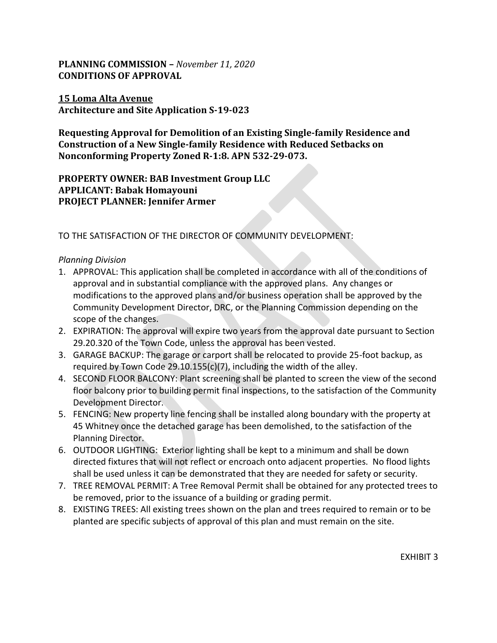## **PLANNING COMMISSION –** *November 11, 2020* **CONDITIONS OF APPROVAL**

### **15 Loma Alta Avenue Architecture and Site Application S-19-023**

**Requesting Approval for Demolition of an Existing Single-family Residence and Construction of a New Single-family Residence with Reduced Setbacks on Nonconforming Property Zoned R-1:8. APN 532-29-073.**

**PROPERTY OWNER: BAB Investment Group LLC APPLICANT: Babak Homayouni PROJECT PLANNER: Jennifer Armer**

## TO THE SATISFACTION OF THE DIRECTOR OF COMMUNITY DEVELOPMENT:

#### *Planning Division*

- 1. APPROVAL: This application shall be completed in accordance with all of the conditions of approval and in substantial compliance with the approved plans. Any changes or modifications to the approved plans and/or business operation shall be approved by the Community Development Director, DRC, or the Planning Commission depending on the scope of the changes.
- 2. EXPIRATION: The approval will expire two years from the approval date pursuant to Section 29.20.320 of the Town Code, unless the approval has been vested.
- 3. GARAGE BACKUP: The garage or carport shall be relocated to provide 25-foot backup, as required by Town Code 29.10.155(c)(7), including the width of the alley.
- 4. SECOND FLOOR BALCONY: Plant screening shall be planted to screen the view of the second floor balcony prior to building permit final inspections, to the satisfaction of the Community Development Director.
- 5. FENCING: New property line fencing shall be installed along boundary with the property at 45 Whitney once the detached garage has been demolished, to the satisfaction of the Planning Director.
- 6. OUTDOOR LIGHTING: Exterior lighting shall be kept to a minimum and shall be down directed fixtures that will not reflect or encroach onto adjacent properties. No flood lights shall be used unless it can be demonstrated that they are needed for safety or security.
- 7. TREE REMOVAL PERMIT: A Tree Removal Permit shall be obtained for any protected trees to be removed, prior to the issuance of a building or grading permit.
- 8. EXISTING TREES: All existing trees shown on the plan and trees required to remain or to be planted are specific subjects of approval of this plan and must remain on the site.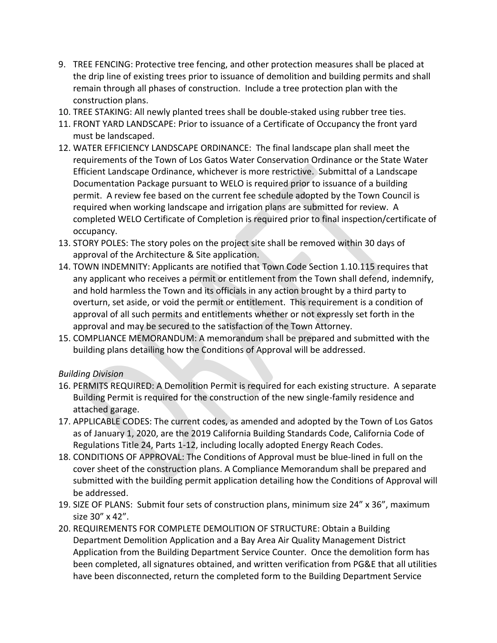- 9. TREE FENCING: Protective tree fencing, and other protection measures shall be placed at the drip line of existing trees prior to issuance of demolition and building permits and shall remain through all phases of construction. Include a tree protection plan with the construction plans.
- 10. TREE STAKING: All newly planted trees shall be double-staked using rubber tree ties.
- 11. FRONT YARD LANDSCAPE: Prior to issuance of a Certificate of Occupancy the front yard must be landscaped.
- 12. WATER EFFICIENCY LANDSCAPE ORDINANCE: The final landscape plan shall meet the requirements of the Town of Los Gatos Water Conservation Ordinance or the State Water Efficient Landscape Ordinance, whichever is more restrictive. Submittal of a Landscape Documentation Package pursuant to WELO is required prior to issuance of a building permit. A review fee based on the current fee schedule adopted by the Town Council is required when working landscape and irrigation plans are submitted for review. A completed WELO Certificate of Completion is required prior to final inspection/certificate of occupancy.
- 13. STORY POLES: The story poles on the project site shall be removed within 30 days of approval of the Architecture & Site application.
- 14. TOWN INDEMNITY: Applicants are notified that Town Code Section 1.10.115 requires that any applicant who receives a permit or entitlement from the Town shall defend, indemnify, and hold harmless the Town and its officials in any action brought by a third party to overturn, set aside, or void the permit or entitlement. This requirement is a condition of approval of all such permits and entitlements whether or not expressly set forth in the approval and may be secured to the satisfaction of the Town Attorney.
- 15. COMPLIANCE MEMORANDUM: A memorandum shall be prepared and submitted with the building plans detailing how the Conditions of Approval will be addressed.

## *Building Division*

- 16. PERMITS REQUIRED: A Demolition Permit is required for each existing structure. A separate Building Permit is required for the construction of the new single-family residence and attached garage.
- 17. APPLICABLE CODES: The current codes, as amended and adopted by the Town of Los Gatos as of January 1, 2020, are the 2019 California Building Standards Code, California Code of Regulations Title 24, Parts 1-12, including locally adopted Energy Reach Codes.
- 18. CONDITIONS OF APPROVAL: The Conditions of Approval must be blue-lined in full on the cover sheet of the construction plans. A Compliance Memorandum shall be prepared and submitted with the building permit application detailing how the Conditions of Approval will be addressed.
- 19. SIZE OF PLANS: Submit four sets of construction plans, minimum size 24" x 36", maximum size 30" x 42".
- 20. REQUIREMENTS FOR COMPLETE DEMOLITION OF STRUCTURE: Obtain a Building Department Demolition Application and a Bay Area Air Quality Management District Application from the Building Department Service Counter. Once the demolition form has been completed, all signatures obtained, and written verification from PG&E that all utilities have been disconnected, return the completed form to the Building Department Service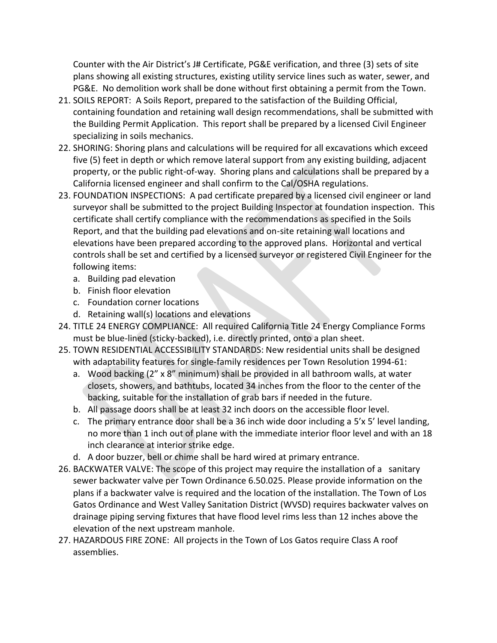Counter with the Air District's J# Certificate, PG&E verification, and three (3) sets of site plans showing all existing structures, existing utility service lines such as water, sewer, and PG&E. No demolition work shall be done without first obtaining a permit from the Town.

- 21. SOILS REPORT: A Soils Report, prepared to the satisfaction of the Building Official, containing foundation and retaining wall design recommendations, shall be submitted with the Building Permit Application. This report shall be prepared by a licensed Civil Engineer specializing in soils mechanics.
- 22. SHORING: Shoring plans and calculations will be required for all excavations which exceed five (5) feet in depth or which remove lateral support from any existing building, adjacent property, or the public right-of-way. Shoring plans and calculations shall be prepared by a California licensed engineer and shall confirm to the Cal/OSHA regulations.
- 23. FOUNDATION INSPECTIONS: A pad certificate prepared by a licensed civil engineer or land surveyor shall be submitted to the project Building Inspector at foundation inspection. This certificate shall certify compliance with the recommendations as specified in the Soils Report, and that the building pad elevations and on-site retaining wall locations and elevations have been prepared according to the approved plans. Horizontal and vertical controls shall be set and certified by a licensed surveyor or registered Civil Engineer for the following items:
	- a. Building pad elevation
	- b. Finish floor elevation
	- c. Foundation corner locations
	- d. Retaining wall(s) locations and elevations
- 24. TITLE 24 ENERGY COMPLIANCE: All required California Title 24 Energy Compliance Forms must be blue-lined (sticky-backed), i.e. directly printed, onto a plan sheet.
- 25. TOWN RESIDENTIAL ACCESSIBILITY STANDARDS: New residential units shall be designed with adaptability features for single-family residences per Town Resolution 1994-61:
	- a. Wood backing (2" x 8" minimum) shall be provided in all bathroom walls, at water closets, showers, and bathtubs, located 34 inches from the floor to the center of the backing, suitable for the installation of grab bars if needed in the future.
	- b. All passage doors shall be at least 32 inch doors on the accessible floor level.
	- c. The primary entrance door shall be a 36 inch wide door including a 5'x 5' level landing, no more than 1 inch out of plane with the immediate interior floor level and with an 18 inch clearance at interior strike edge.
	- d. A door buzzer, bell or chime shall be hard wired at primary entrance.
- 26. BACKWATER VALVE: The scope of this project may require the installation of a sanitary sewer backwater valve per Town Ordinance 6.50.025. Please provide information on the plans if a backwater valve is required and the location of the installation. The Town of Los Gatos Ordinance and West Valley Sanitation District (WVSD) requires backwater valves on drainage piping serving fixtures that have flood level rims less than 12 inches above the elevation of the next upstream manhole.
- 27. HAZARDOUS FIRE ZONE: All projects in the Town of Los Gatos require Class A roof assemblies.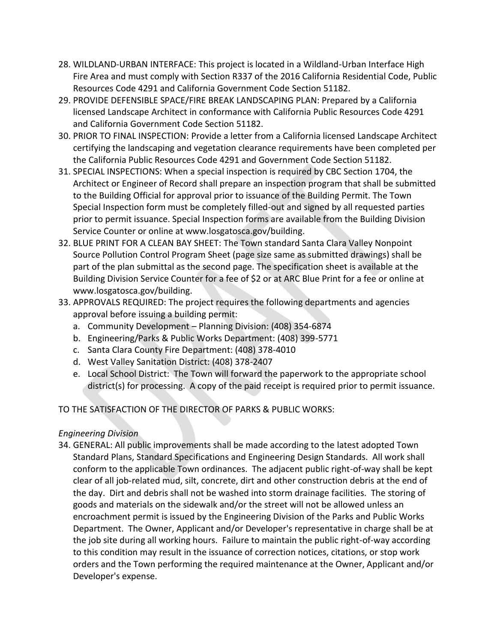- 28. WILDLAND-URBAN INTERFACE: This project is located in a Wildland-Urban Interface High Fire Area and must comply with Section R337 of the 2016 California Residential Code, Public Resources Code 4291 and California Government Code Section 51182.
- 29. PROVIDE DEFENSIBLE SPACE/FIRE BREAK LANDSCAPING PLAN: Prepared by a California licensed Landscape Architect in conformance with California Public Resources Code 4291 and California Government Code Section 51182.
- 30. PRIOR TO FINAL INSPECTION: Provide a letter from a California licensed Landscape Architect certifying the landscaping and vegetation clearance requirements have been completed per the California Public Resources Code 4291 and Government Code Section 51182.
- 31. SPECIAL INSPECTIONS: When a special inspection is required by CBC Section 1704, the Architect or Engineer of Record shall prepare an inspection program that shall be submitted to the Building Official for approval prior to issuance of the Building Permit. The Town Special Inspection form must be completely filled-out and signed by all requested parties prior to permit issuance. Special Inspection forms are available from the Building Division Service Counter or online at www.losgatosca.gov/building.
- 32. BLUE PRINT FOR A CLEAN BAY SHEET: The Town standard Santa Clara Valley Nonpoint Source Pollution Control Program Sheet (page size same as submitted drawings) shall be part of the plan submittal as the second page. The specification sheet is available at the Building Division Service Counter for a fee of \$2 or at ARC Blue Print for a fee or online at www.losgatosca.gov/building.
- 33. APPROVALS REQUIRED: The project requires the following departments and agencies approval before issuing a building permit:
	- a. Community Development Planning Division: (408) 354-6874
	- b. Engineering/Parks & Public Works Department: (408) 399-5771
	- c. Santa Clara County Fire Department: (408) 378-4010
	- d. West Valley Sanitation District: (408) 378-2407
	- e. Local School District: The Town will forward the paperwork to the appropriate school district(s) for processing. A copy of the paid receipt is required prior to permit issuance.

# TO THE SATISFACTION OF THE DIRECTOR OF PARKS & PUBLIC WORKS:

## *Engineering Division*

34. GENERAL: All public improvements shall be made according to the latest adopted Town Standard Plans, Standard Specifications and Engineering Design Standards. All work shall conform to the applicable Town ordinances. The adjacent public right-of-way shall be kept clear of all job-related mud, silt, concrete, dirt and other construction debris at the end of the day. Dirt and debris shall not be washed into storm drainage facilities. The storing of goods and materials on the sidewalk and/or the street will not be allowed unless an encroachment permit is issued by the Engineering Division of the Parks and Public Works Department. The Owner, Applicant and/or Developer's representative in charge shall be at the job site during all working hours. Failure to maintain the public right-of-way according to this condition may result in the issuance of correction notices, citations, or stop work orders and the Town performing the required maintenance at the Owner, Applicant and/or Developer's expense.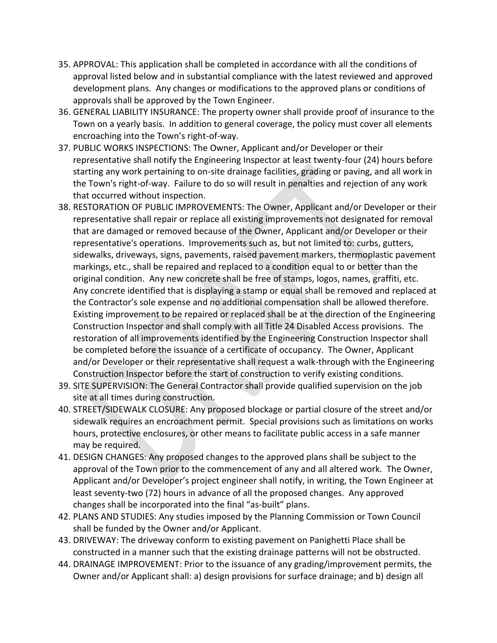- 35. APPROVAL: This application shall be completed in accordance with all the conditions of approval listed below and in substantial compliance with the latest reviewed and approved development plans. Any changes or modifications to the approved plans or conditions of approvals shall be approved by the Town Engineer.
- 36. GENERAL LIABILITY INSURANCE: The property owner shall provide proof of insurance to the Town on a yearly basis. In addition to general coverage, the policy must cover all elements encroaching into the Town's right-of-way.
- 37. PUBLIC WORKS INSPECTIONS: The Owner, Applicant and/or Developer or their representative shall notify the Engineering Inspector at least twenty-four (24) hours before starting any work pertaining to on-site drainage facilities, grading or paving, and all work in the Town's right-of-way. Failure to do so will result in penalties and rejection of any work that occurred without inspection.
- 38. RESTORATION OF PUBLIC IMPROVEMENTS: The Owner, Applicant and/or Developer or their representative shall repair or replace all existing improvements not designated for removal that are damaged or removed because of the Owner, Applicant and/or Developer or their representative's operations. Improvements such as, but not limited to: curbs, gutters, sidewalks, driveways, signs, pavements, raised pavement markers, thermoplastic pavement markings, etc., shall be repaired and replaced to a condition equal to or better than the original condition. Any new concrete shall be free of stamps, logos, names, graffiti, etc. Any concrete identified that is displaying a stamp or equal shall be removed and replaced at the Contractor's sole expense and no additional compensation shall be allowed therefore. Existing improvement to be repaired or replaced shall be at the direction of the Engineering Construction Inspector and shall comply with all Title 24 Disabled Access provisions. The restoration of all improvements identified by the Engineering Construction Inspector shall be completed before the issuance of a certificate of occupancy. The Owner, Applicant and/or Developer or their representative shall request a walk-through with the Engineering Construction Inspector before the start of construction to verify existing conditions.
- 39. SITE SUPERVISION: The General Contractor shall provide qualified supervision on the job site at all times during construction.
- 40. STREET/SIDEWALK CLOSURE: Any proposed blockage or partial closure of the street and/or sidewalk requires an encroachment permit. Special provisions such as limitations on works hours, protective enclosures, or other means to facilitate public access in a safe manner may be required.
- 41. DESIGN CHANGES: Any proposed changes to the approved plans shall be subject to the approval of the Town prior to the commencement of any and all altered work. The Owner, Applicant and/or Developer's project engineer shall notify, in writing, the Town Engineer at least seventy-two (72) hours in advance of all the proposed changes. Any approved changes shall be incorporated into the final "as-built" plans.
- 42. PLANS AND STUDIES: Any studies imposed by the Planning Commission or Town Council shall be funded by the Owner and/or Applicant.
- 43. DRIVEWAY: The driveway conform to existing pavement on Panighetti Place shall be constructed in a manner such that the existing drainage patterns will not be obstructed.
- 44. DRAINAGE IMPROVEMENT: Prior to the issuance of any grading/improvement permits, the Owner and/or Applicant shall: a) design provisions for surface drainage; and b) design all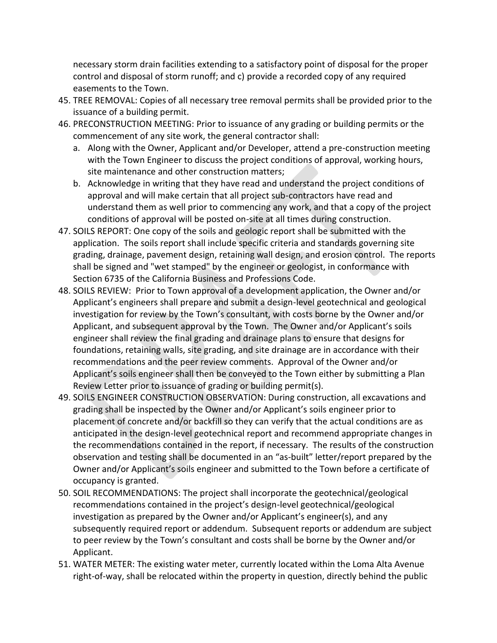necessary storm drain facilities extending to a satisfactory point of disposal for the proper control and disposal of storm runoff; and c) provide a recorded copy of any required easements to the Town.

- 45. TREE REMOVAL: Copies of all necessary tree removal permits shall be provided prior to the issuance of a building permit.
- 46. PRECONSTRUCTION MEETING: Prior to issuance of any grading or building permits or the commencement of any site work, the general contractor shall:
	- a. Along with the Owner, Applicant and/or Developer, attend a pre-construction meeting with the Town Engineer to discuss the project conditions of approval, working hours, site maintenance and other construction matters;
	- b. Acknowledge in writing that they have read and understand the project conditions of approval and will make certain that all project sub-contractors have read and understand them as well prior to commencing any work, and that a copy of the project conditions of approval will be posted on-site at all times during construction.
- 47. SOILS REPORT: One copy of the soils and geologic report shall be submitted with the application. The soils report shall include specific criteria and standards governing site grading, drainage, pavement design, retaining wall design, and erosion control. The reports shall be signed and "wet stamped" by the engineer or geologist, in conformance with Section 6735 of the California Business and Professions Code.
- 48. SOILS REVIEW: Prior to Town approval of a development application, the Owner and/or Applicant's engineers shall prepare and submit a design-level geotechnical and geological investigation for review by the Town's consultant, with costs borne by the Owner and/or Applicant, and subsequent approval by the Town. The Owner and/or Applicant's soils engineer shall review the final grading and drainage plans to ensure that designs for foundations, retaining walls, site grading, and site drainage are in accordance with their recommendations and the peer review comments. Approval of the Owner and/or Applicant's soils engineer shall then be conveyed to the Town either by submitting a Plan Review Letter prior to issuance of grading or building permit(s).
- 49. SOILS ENGINEER CONSTRUCTION OBSERVATION: During construction, all excavations and grading shall be inspected by the Owner and/or Applicant's soils engineer prior to placement of concrete and/or backfill so they can verify that the actual conditions are as anticipated in the design-level geotechnical report and recommend appropriate changes in the recommendations contained in the report, if necessary. The results of the construction observation and testing shall be documented in an "as-built" letter/report prepared by the Owner and/or Applicant's soils engineer and submitted to the Town before a certificate of occupancy is granted.
- 50. SOIL RECOMMENDATIONS: The project shall incorporate the geotechnical/geological recommendations contained in the project's design-level geotechnical/geological investigation as prepared by the Owner and/or Applicant's engineer(s), and any subsequently required report or addendum. Subsequent reports or addendum are subject to peer review by the Town's consultant and costs shall be borne by the Owner and/or Applicant.
- 51. WATER METER: The existing water meter, currently located within the Loma Alta Avenue right-of-way, shall be relocated within the property in question, directly behind the public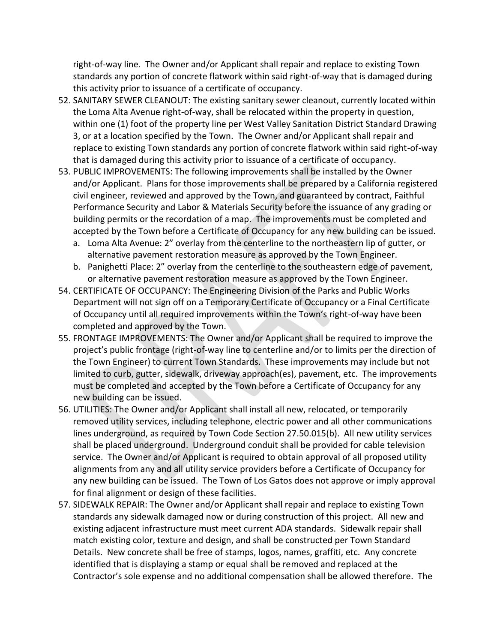right-of-way line. The Owner and/or Applicant shall repair and replace to existing Town standards any portion of concrete flatwork within said right-of-way that is damaged during this activity prior to issuance of a certificate of occupancy.

- 52. SANITARY SEWER CLEANOUT: The existing sanitary sewer cleanout, currently located within the Loma Alta Avenue right-of-way, shall be relocated within the property in question, within one (1) foot of the property line per West Valley Sanitation District Standard Drawing 3, or at a location specified by the Town. The Owner and/or Applicant shall repair and replace to existing Town standards any portion of concrete flatwork within said right-of-way that is damaged during this activity prior to issuance of a certificate of occupancy.
- 53. PUBLIC IMPROVEMENTS: The following improvements shall be installed by the Owner and/or Applicant. Plans for those improvements shall be prepared by a California registered civil engineer, reviewed and approved by the Town, and guaranteed by contract, Faithful Performance Security and Labor & Materials Security before the issuance of any grading or building permits or the recordation of a map. The improvements must be completed and accepted by the Town before a Certificate of Occupancy for any new building can be issued.
	- a. Loma Alta Avenue: 2" overlay from the centerline to the northeastern lip of gutter, or alternative pavement restoration measure as approved by the Town Engineer.
	- b. Panighetti Place: 2" overlay from the centerline to the southeastern edge of pavement, or alternative pavement restoration measure as approved by the Town Engineer.
- 54. CERTIFICATE OF OCCUPANCY: The Engineering Division of the Parks and Public Works Department will not sign off on a Temporary Certificate of Occupancy or a Final Certificate of Occupancy until all required improvements within the Town's right-of-way have been completed and approved by the Town.
- 55. FRONTAGE IMPROVEMENTS: The Owner and/or Applicant shall be required to improve the project's public frontage (right-of-way line to centerline and/or to limits per the direction of the Town Engineer) to current Town Standards. These improvements may include but not limited to curb, gutter, sidewalk, driveway approach(es), pavement, etc. The improvements must be completed and accepted by the Town before a Certificate of Occupancy for any new building can be issued.
- 56. UTILITIES: The Owner and/or Applicant shall install all new, relocated, or temporarily removed utility services, including telephone, electric power and all other communications lines underground, as required by Town Code Section 27.50.015(b). All new utility services shall be placed underground. Underground conduit shall be provided for cable television service. The Owner and/or Applicant is required to obtain approval of all proposed utility alignments from any and all utility service providers before a Certificate of Occupancy for any new building can be issued. The Town of Los Gatos does not approve or imply approval for final alignment or design of these facilities.
- 57. SIDEWALK REPAIR: The Owner and/or Applicant shall repair and replace to existing Town standards any sidewalk damaged now or during construction of this project. All new and existing adjacent infrastructure must meet current ADA standards. Sidewalk repair shall match existing color, texture and design, and shall be constructed per Town Standard Details. New concrete shall be free of stamps, logos, names, graffiti, etc. Any concrete identified that is displaying a stamp or equal shall be removed and replaced at the Contractor's sole expense and no additional compensation shall be allowed therefore. The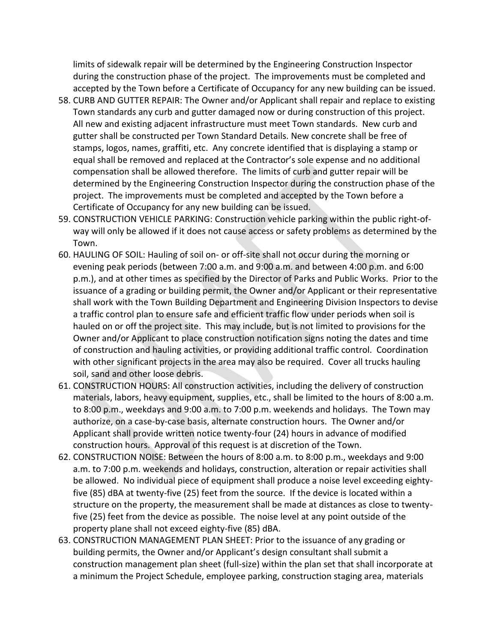limits of sidewalk repair will be determined by the Engineering Construction Inspector during the construction phase of the project. The improvements must be completed and accepted by the Town before a Certificate of Occupancy for any new building can be issued.

- 58. CURB AND GUTTER REPAIR: The Owner and/or Applicant shall repair and replace to existing Town standards any curb and gutter damaged now or during construction of this project. All new and existing adjacent infrastructure must meet Town standards. New curb and gutter shall be constructed per Town Standard Details. New concrete shall be free of stamps, logos, names, graffiti, etc. Any concrete identified that is displaying a stamp or equal shall be removed and replaced at the Contractor's sole expense and no additional compensation shall be allowed therefore. The limits of curb and gutter repair will be determined by the Engineering Construction Inspector during the construction phase of the project. The improvements must be completed and accepted by the Town before a Certificate of Occupancy for any new building can be issued.
- 59. CONSTRUCTION VEHICLE PARKING: Construction vehicle parking within the public right-ofway will only be allowed if it does not cause access or safety problems as determined by the Town.
- 60. HAULING OF SOIL: Hauling of soil on- or off-site shall not occur during the morning or evening peak periods (between 7:00 a.m. and 9:00 a.m. and between 4:00 p.m. and 6:00 p.m.), and at other times as specified by the Director of Parks and Public Works. Prior to the issuance of a grading or building permit, the Owner and/or Applicant or their representative shall work with the Town Building Department and Engineering Division Inspectors to devise a traffic control plan to ensure safe and efficient traffic flow under periods when soil is hauled on or off the project site. This may include, but is not limited to provisions for the Owner and/or Applicant to place construction notification signs noting the dates and time of construction and hauling activities, or providing additional traffic control. Coordination with other significant projects in the area may also be required. Cover all trucks hauling soil, sand and other loose debris.
- 61. CONSTRUCTION HOURS: All construction activities, including the delivery of construction materials, labors, heavy equipment, supplies, etc., shall be limited to the hours of 8:00 a.m. to 8:00 p.m., weekdays and 9:00 a.m. to 7:00 p.m. weekends and holidays. The Town may authorize, on a case-by-case basis, alternate construction hours. The Owner and/or Applicant shall provide written notice twenty-four (24) hours in advance of modified construction hours. Approval of this request is at discretion of the Town.
- 62. CONSTRUCTION NOISE: Between the hours of 8:00 a.m. to 8:00 p.m., weekdays and 9:00 a.m. to 7:00 p.m. weekends and holidays, construction, alteration or repair activities shall be allowed. No individual piece of equipment shall produce a noise level exceeding eightyfive (85) dBA at twenty-five (25) feet from the source. If the device is located within a structure on the property, the measurement shall be made at distances as close to twentyfive (25) feet from the device as possible. The noise level at any point outside of the property plane shall not exceed eighty-five (85) dBA.
- 63. CONSTRUCTION MANAGEMENT PLAN SHEET: Prior to the issuance of any grading or building permits, the Owner and/or Applicant's design consultant shall submit a construction management plan sheet (full-size) within the plan set that shall incorporate at a minimum the Project Schedule, employee parking, construction staging area, materials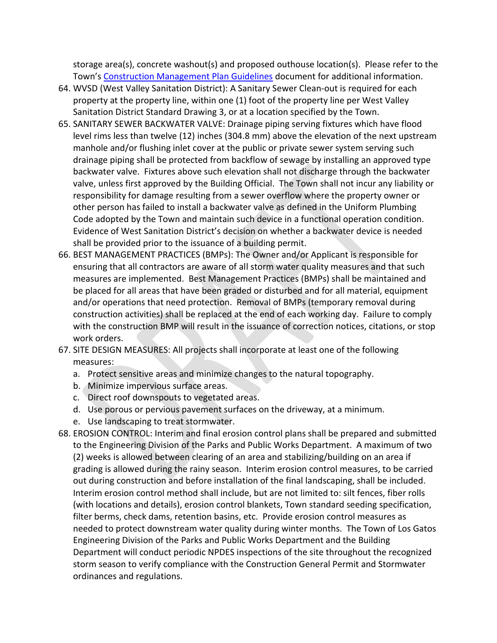storage area(s), concrete washout(s) and proposed outhouse location(s). Please refer to the Town's [Construction Management Plan Guidelines](http://www.losgatosca.gov/DocumentCenter/View/17600) document for additional information.

- 64. WVSD (West Valley Sanitation District): A Sanitary Sewer Clean-out is required for each property at the property line, within one (1) foot of the property line per West Valley Sanitation District Standard Drawing 3, or at a location specified by the Town.
- 65. SANITARY SEWER BACKWATER VALVE: Drainage piping serving fixtures which have flood level rims less than twelve (12) inches (304.8 mm) above the elevation of the next upstream manhole and/or flushing inlet cover at the public or private sewer system serving such drainage piping shall be protected from backflow of sewage by installing an approved type backwater valve. Fixtures above such elevation shall not discharge through the backwater valve, unless first approved by the Building Official. The Town shall not incur any liability or responsibility for damage resulting from a sewer overflow where the property owner or other person has failed to install a backwater valve as defined in the Uniform Plumbing Code adopted by the Town and maintain such device in a functional operation condition. Evidence of West Sanitation District's decision on whether a backwater device is needed shall be provided prior to the issuance of a building permit.
- 66. BEST MANAGEMENT PRACTICES (BMPs): The Owner and/or Applicant is responsible for ensuring that all contractors are aware of all storm water quality measures and that such measures are implemented. Best Management Practices (BMPs) shall be maintained and be placed for all areas that have been graded or disturbed and for all material, equipment and/or operations that need protection. Removal of BMPs (temporary removal during construction activities) shall be replaced at the end of each working day. Failure to comply with the construction BMP will result in the issuance of correction notices, citations, or stop work orders.
- 67. SITE DESIGN MEASURES: All projects shall incorporate at least one of the following measures:
	- a. Protect sensitive areas and minimize changes to the natural topography.
	- b. Minimize impervious surface areas.
	- c. Direct roof downspouts to vegetated areas.
	- d. Use porous or pervious pavement surfaces on the driveway, at a minimum.
	- e. Use landscaping to treat stormwater.
- 68. EROSION CONTROL: Interim and final erosion control plans shall be prepared and submitted to the Engineering Division of the Parks and Public Works Department. A maximum of two (2) weeks is allowed between clearing of an area and stabilizing/building on an area if grading is allowed during the rainy season. Interim erosion control measures, to be carried out during construction and before installation of the final landscaping, shall be included. Interim erosion control method shall include, but are not limited to: silt fences, fiber rolls (with locations and details), erosion control blankets, Town standard seeding specification, filter berms, check dams, retention basins, etc. Provide erosion control measures as needed to protect downstream water quality during winter months. The Town of Los Gatos Engineering Division of the Parks and Public Works Department and the Building Department will conduct periodic NPDES inspections of the site throughout the recognized storm season to verify compliance with the Construction General Permit and Stormwater ordinances and regulations.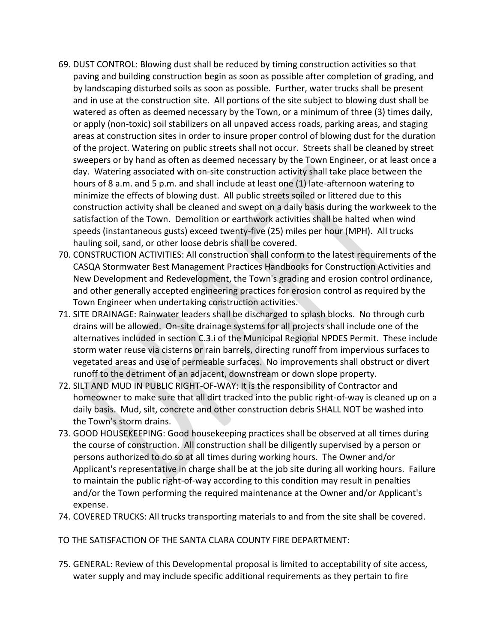- 69. DUST CONTROL: Blowing dust shall be reduced by timing construction activities so that paving and building construction begin as soon as possible after completion of grading, and by landscaping disturbed soils as soon as possible. Further, water trucks shall be present and in use at the construction site. All portions of the site subject to blowing dust shall be watered as often as deemed necessary by the Town, or a minimum of three (3) times daily, or apply (non-toxic) soil stabilizers on all unpaved access roads, parking areas, and staging areas at construction sites in order to insure proper control of blowing dust for the duration of the project. Watering on public streets shall not occur. Streets shall be cleaned by street sweepers or by hand as often as deemed necessary by the Town Engineer, or at least once a day. Watering associated with on-site construction activity shall take place between the hours of 8 a.m. and 5 p.m. and shall include at least one (1) late-afternoon watering to minimize the effects of blowing dust. All public streets soiled or littered due to this construction activity shall be cleaned and swept on a daily basis during the workweek to the satisfaction of the Town. Demolition or earthwork activities shall be halted when wind speeds (instantaneous gusts) exceed twenty-five (25) miles per hour (MPH). All trucks hauling soil, sand, or other loose debris shall be covered.
- 70. CONSTRUCTION ACTIVITIES: All construction shall conform to the latest requirements of the CASQA Stormwater Best Management Practices Handbooks for Construction Activities and New Development and Redevelopment, the Town's grading and erosion control ordinance, and other generally accepted engineering practices for erosion control as required by the Town Engineer when undertaking construction activities.
- 71. SITE DRAINAGE: Rainwater leaders shall be discharged to splash blocks. No through curb drains will be allowed. On-site drainage systems for all projects shall include one of the alternatives included in section C.3.i of the Municipal Regional NPDES Permit. These include storm water reuse via cisterns or rain barrels, directing runoff from impervious surfaces to vegetated areas and use of permeable surfaces. No improvements shall obstruct or divert runoff to the detriment of an adjacent, downstream or down slope property.
- 72. SILT AND MUD IN PUBLIC RIGHT-OF-WAY: It is the responsibility of Contractor and homeowner to make sure that all dirt tracked into the public right-of-way is cleaned up on a daily basis. Mud, silt, concrete and other construction debris SHALL NOT be washed into the Town's storm drains.
- 73. GOOD HOUSEKEEPING: Good housekeeping practices shall be observed at all times during the course of construction. All construction shall be diligently supervised by a person or persons authorized to do so at all times during working hours. The Owner and/or Applicant's representative in charge shall be at the job site during all working hours. Failure to maintain the public right-of-way according to this condition may result in penalties and/or the Town performing the required maintenance at the Owner and/or Applicant's expense.
- 74. COVERED TRUCKS: All trucks transporting materials to and from the site shall be covered.
- TO THE SATISFACTION OF THE SANTA CLARA COUNTY FIRE DEPARTMENT:
- 75. GENERAL: Review of this Developmental proposal is limited to acceptability of site access, water supply and may include specific additional requirements as they pertain to fire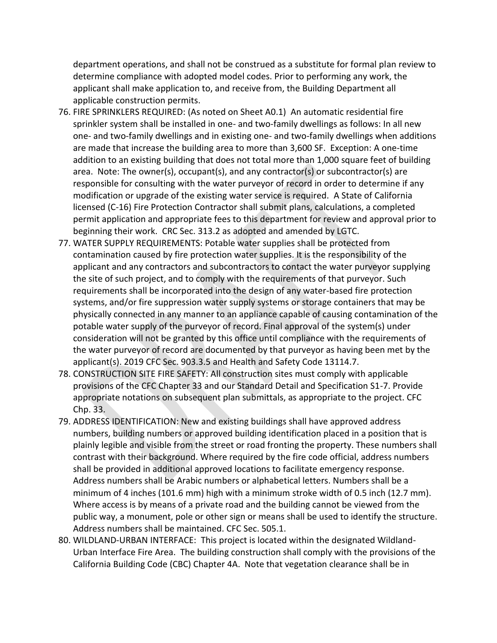department operations, and shall not be construed as a substitute for formal plan review to determine compliance with adopted model codes. Prior to performing any work, the applicant shall make application to, and receive from, the Building Department all applicable construction permits.

- 76. FIRE SPRINKLERS REQUIRED: (As noted on Sheet A0.1) An automatic residential fire sprinkler system shall be installed in one- and two-family dwellings as follows: In all new one- and two-family dwellings and in existing one- and two-family dwellings when additions are made that increase the building area to more than 3,600 SF. Exception: A one-time addition to an existing building that does not total more than 1,000 square feet of building area. Note: The owner(s), occupant(s), and any contractor(s) or subcontractor(s) are responsible for consulting with the water purveyor of record in order to determine if any modification or upgrade of the existing water service is required. A State of California licensed (C-16) Fire Protection Contractor shall submit plans, calculations, a completed permit application and appropriate fees to this department for review and approval prior to beginning their work. CRC Sec. 313.2 as adopted and amended by LGTC.
- 77. WATER SUPPLY REQUIREMENTS: Potable water supplies shall be protected from contamination caused by fire protection water supplies. It is the responsibility of the applicant and any contractors and subcontractors to contact the water purveyor supplying the site of such project, and to comply with the requirements of that purveyor. Such requirements shall be incorporated into the design of any water-based fire protection systems, and/or fire suppression water supply systems or storage containers that may be physically connected in any manner to an appliance capable of causing contamination of the potable water supply of the purveyor of record. Final approval of the system(s) under consideration will not be granted by this office until compliance with the requirements of the water purveyor of record are documented by that purveyor as having been met by the applicant(s). 2019 CFC Sec. 903.3.5 and Health and Safety Code 13114.7.
- 78. CONSTRUCTION SITE FIRE SAFETY: All construction sites must comply with applicable provisions of the CFC Chapter 33 and our Standard Detail and Specification S1-7. Provide appropriate notations on subsequent plan submittals, as appropriate to the project. CFC Chp. 33.
- 79. ADDRESS IDENTIFICATION: New and existing buildings shall have approved address numbers, building numbers or approved building identification placed in a position that is plainly legible and visible from the street or road fronting the property. These numbers shall contrast with their background. Where required by the fire code official, address numbers shall be provided in additional approved locations to facilitate emergency response. Address numbers shall be Arabic numbers or alphabetical letters. Numbers shall be a minimum of 4 inches (101.6 mm) high with a minimum stroke width of 0.5 inch (12.7 mm). Where access is by means of a private road and the building cannot be viewed from the public way, a monument, pole or other sign or means shall be used to identify the structure. Address numbers shall be maintained. CFC Sec. 505.1.
- 80. WILDLAND-URBAN INTERFACE: This project is located within the designated Wildland-Urban Interface Fire Area. The building construction shall comply with the provisions of the California Building Code (CBC) Chapter 4A. Note that vegetation clearance shall be in